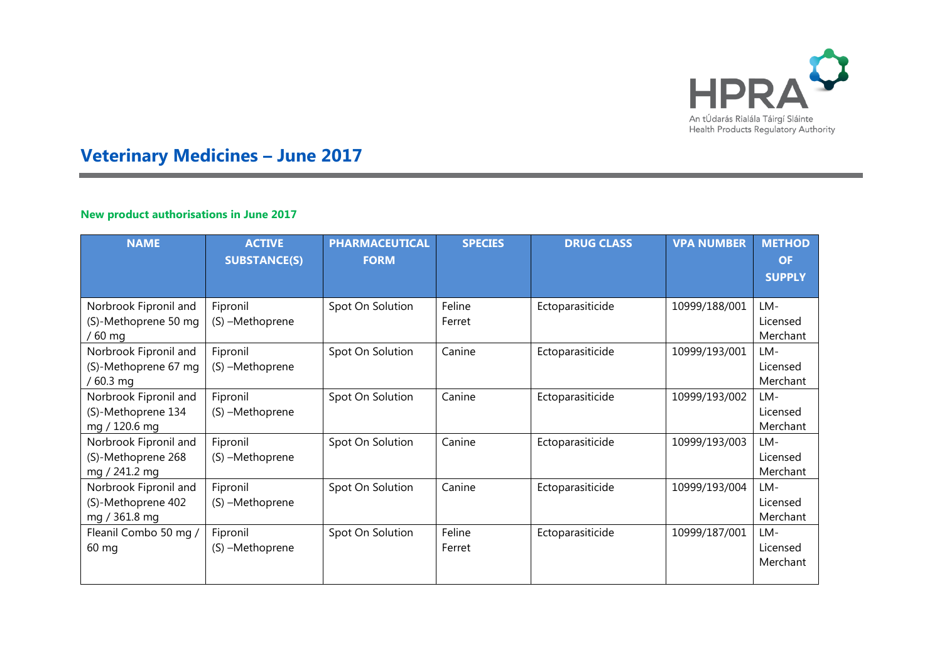

## **Veterinary Medicines – June 2017**

## **New product authorisations in June 2017**

| <b>NAME</b>                                                  | <b>ACTIVE</b><br><b>SUBSTANCE(S)</b> | <b>PHARMACEUTICAL</b><br><b>FORM</b> | <b>SPECIES</b>   | <b>DRUG CLASS</b> | <b>VPA NUMBER</b> | <b>METHOD</b><br><b>OF</b>  |
|--------------------------------------------------------------|--------------------------------------|--------------------------------------|------------------|-------------------|-------------------|-----------------------------|
|                                                              |                                      |                                      |                  |                   |                   | <b>SUPPLY</b>               |
| Norbrook Fipronil and<br>(S)-Methoprene 50 mg<br>$/60$ mg    | Fipronil<br>(S) -Methoprene          | Spot On Solution                     | Feline<br>Ferret | Ectoparasiticide  | 10999/188/001     | LM-<br>Licensed<br>Merchant |
| Norbrook Fipronil and<br>(S)-Methoprene 67 mg<br>$/60.3$ mg  | Fipronil<br>(S) -Methoprene          | Spot On Solution                     | Canine           | Ectoparasiticide  | 10999/193/001     | LM-<br>Licensed<br>Merchant |
| Norbrook Fipronil and<br>(S)-Methoprene 134<br>mg / 120.6 mg | Fipronil<br>(S) -Methoprene          | Spot On Solution                     | Canine           | Ectoparasiticide  | 10999/193/002     | LM-<br>Licensed<br>Merchant |
| Norbrook Fipronil and<br>(S)-Methoprene 268<br>mg / 241.2 mg | Fipronil<br>(S) -Methoprene          | Spot On Solution                     | Canine           | Ectoparasiticide  | 10999/193/003     | LM-<br>Licensed<br>Merchant |
| Norbrook Fipronil and<br>(S)-Methoprene 402<br>mg / 361.8 mg | Fipronil<br>(S) -Methoprene          | Spot On Solution                     | Canine           | Ectoparasiticide  | 10999/193/004     | LM-<br>Licensed<br>Merchant |
| Fleanil Combo 50 mg /<br>$60 \text{ mg}$                     | Fipronil<br>(S) -Methoprene          | Spot On Solution                     | Feline<br>Ferret | Ectoparasiticide  | 10999/187/001     | LM-<br>Licensed<br>Merchant |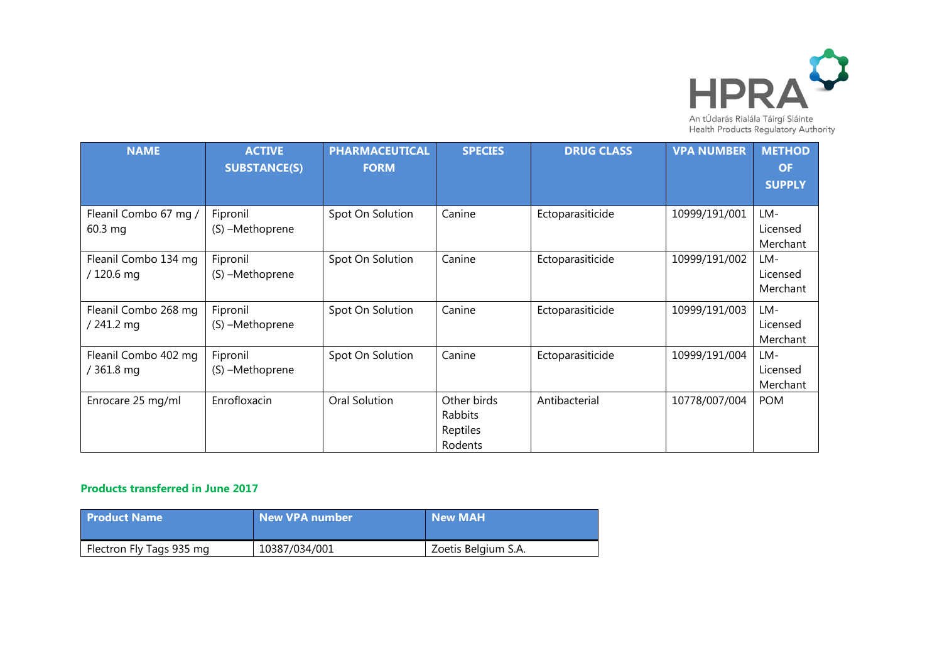

| <b>NAME</b>                        | <b>ACTIVE</b><br><b>SUBSTANCE(S)</b> | <b>PHARMACEUTICAL</b><br><b>FORM</b> | <b>SPECIES</b>                                | <b>DRUG CLASS</b> | <b>VPA NUMBER</b> | <b>METHOD</b><br><b>OF</b>  |
|------------------------------------|--------------------------------------|--------------------------------------|-----------------------------------------------|-------------------|-------------------|-----------------------------|
|                                    |                                      |                                      |                                               |                   |                   | <b>SUPPLY</b>               |
| Fleanil Combo 67 mg /<br>60.3 mg   | Fipronil<br>(S) -Methoprene          | Spot On Solution                     | Canine                                        | Ectoparasiticide  | 10999/191/001     | LM-<br>Licensed<br>Merchant |
| Fleanil Combo 134 mg<br>/ 120.6 mg | Fipronil<br>(S) -Methoprene          | Spot On Solution                     | Canine                                        | Ectoparasiticide  | 10999/191/002     | LM-<br>Licensed<br>Merchant |
| Fleanil Combo 268 mg<br>/ 241.2 mg | Fipronil<br>(S) -Methoprene          | Spot On Solution                     | Canine                                        | Ectoparasiticide  | 10999/191/003     | LM-<br>Licensed<br>Merchant |
| Fleanil Combo 402 mg<br>/ 361.8 mg | Fipronil<br>(S) -Methoprene          | Spot On Solution                     | Canine                                        | Ectoparasiticide  | 10999/191/004     | LM-<br>Licensed<br>Merchant |
| Enrocare 25 mg/ml                  | Enrofloxacin                         | Oral Solution                        | Other birds<br>Rabbits<br>Reptiles<br>Rodents | Antibacterial     | 10778/007/004     | <b>POM</b>                  |

## **Products transferred in June 2017**

| <b>Product Name</b>      | <b>New VPA number</b> | New MAH             |
|--------------------------|-----------------------|---------------------|
| Flectron Fly Tags 935 mg | 10387/034/001         | Zoetis Belgium S.A. |